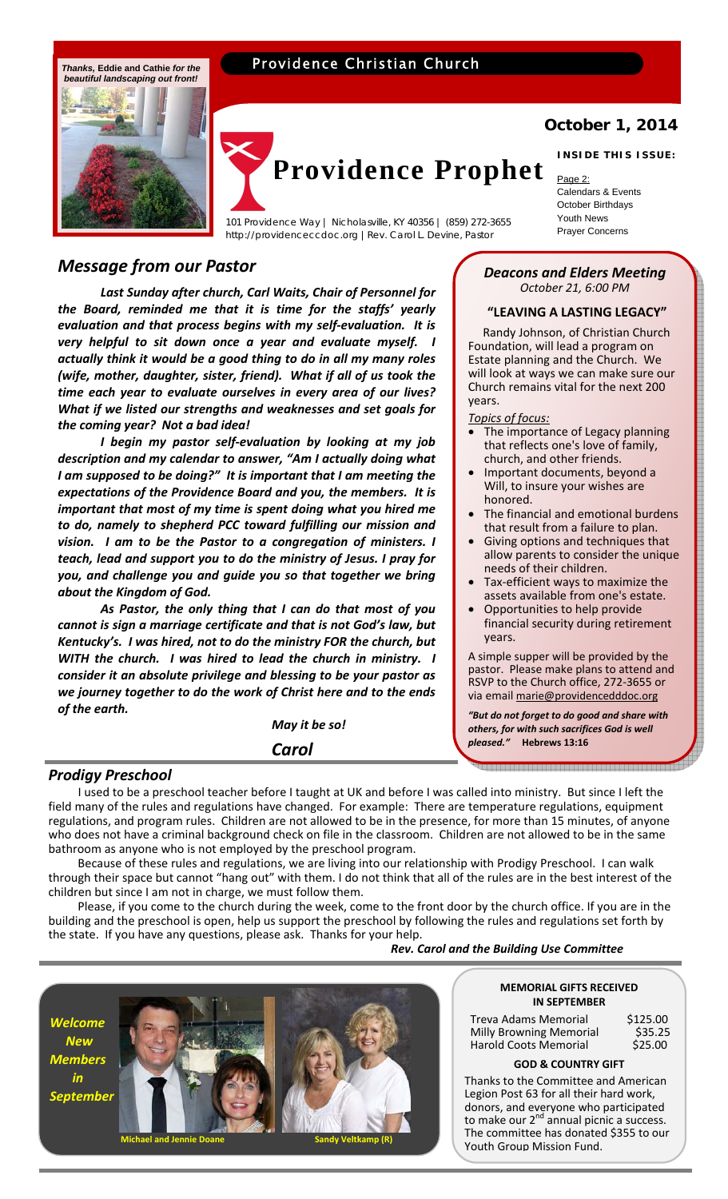# Providence Christian Church



# **Providence Prophet**

Providence Way | Nicholasville, KY 40356 | (859) 272-3655 March 2011 News<br>http://providenceccdoc.org | Rev. Carol | Devine Pastor | Prayer Concerns http://providenceccdoc.org |Rev. Carol L. Devine, Pastor

# *Message from our Pastor*

*Last Sunday after church, Carl Waits, Chair of Personnel for the Board, reminded me that it is time for the staffs' yearly evaluation and that process begins with my self‐evaluation. It is very helpful to sit down once a year and evaluate myself. I actually think it would be a good thing to do in all my many roles (wife, mother, daughter, sister, friend). What if all of us took the time each year to evaluate ourselves in every area of our lives? What if we listed our strengths and weaknesses and set goals for the coming year? Not a bad idea!*

 *I begin my pastor self‐evaluation by looking at my job description and my calendar to answer, "Am I actually doing what I am supposed to be doing?" It is important that I am meeting the expectations of the Providence Board and you, the members. It is important that most of my time is spent doing what you hired me to do, namely to shepherd PCC toward fulfilling our mission and vision. I am to be the Pastor to a congregation of ministers. I teach, lead and support you to do the ministry of Jesus. I pray for you, and challenge you and guide you so that together we bring about the Kingdom of God.* 

*As Pastor, the only thing that I can do that most of you cannot is sign a marriage certificate and that is not God's law, but Kentucky's. I was hired, not to do the ministry FOR the church, but WITH the church. I was hired to lead the church in ministry. I consider it an absolute privilege and blessing to be your pastor as we journey together to do the work of Christ here and to the ends of the earth.* 

 *May it be so!* 

 *Carol*

# **October 1, 2014 INSIDE THIS ISSUE:**

# Page 2:

Calendars & Events October Birthdays Youth News

#### *Deacons and Elders Meeting October 21, 6:00 PM*

# **"LEAVING A LASTING LEGACY"**

 Randy Johnson, of Christian Church Foundation, will lead a program on Estate planning and the Church. We will look at ways we can make sure our Church remains vital for the next 200 years.

#### *Topics of focus:*

- The importance of Legacy planning that reflects one's love of family, church, and other friends.
- Important documents, beyond a Will, to insure your wishes are honored.
- The financial and emotional burdens that result from a failure to plan.
- Giving options and techniques that allow parents to consider the unique needs of their children.
- Tax‐efficient ways to maximize the assets available from one's estate.
- Opportunities to help provide financial security during retirement years.

A simple supper will be provided by the pastor. Please make plans to attend and RSVP to the Church office, 272‐3655 or via email marie@providencedddoc.org

*"But do not forget to do good and share with others, for with such sacrifices God is well pleased."* **Hebrews 13:16**

## *Prodigy Preschool*

 I used to be a preschool teacher before I taught at UK and before I was called into ministry. But since I left the field many of the rules and regulations have changed. For example: There are temperature regulations, equipment regulations, and program rules. Children are not allowed to be in the presence, for more than 15 minutes, of anyone who does not have a criminal background check on file in the classroom. Children are not allowed to be in the same bathroom as anyone who is not employed by the preschool program.

 Because of these rules and regulations, we are living into our relationship with Prodigy Preschool. I can walk through their space but cannot "hang out" with them. I do not think that all of the rules are in the best interest of the children but since I am not in charge, we must follow them.

 Please, if you come to the church during the week, come to the front door by the church office. If you are in the building and the preschool is open, help us support the preschool by following the rules and regulations set forth by the state. If you have any questions, please ask. Thanks for your help.

*Rev. Carol and the Building Use Committee*

*Welcome New Members in September*



#### **MEMORIAL GIFTS RECEIVED IN SEPTEMBER**

 Treva Adams Memorial \$125.00 Milly Browning Memorial \$35.25 Harold Coots Memorial

#### **GOD & COUNTRY GIFT**

Thanks to the Committee and American Legion Post 63 for all their hard work, donors, and everyone who participated to make our 2<sup>nd</sup> annual picnic a success. The committee has donated \$355 to our Youth Group Mission Fund.